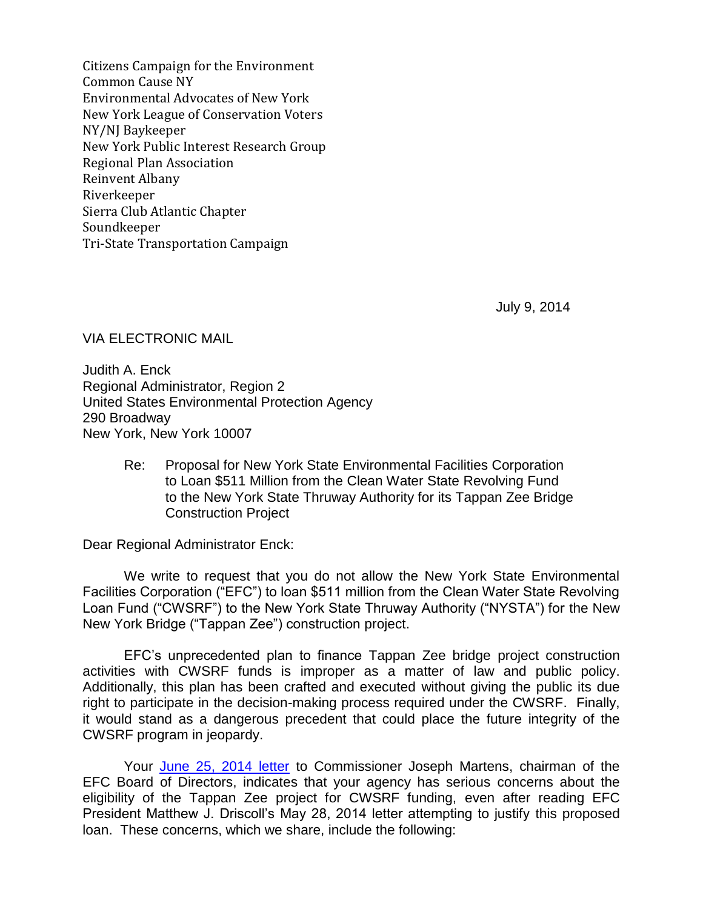Citizens Campaign for the Environment Common Cause NY Environmental Advocates of New York New York League of Conservation Voters NY/NJ Baykeeper New York Public Interest Research Group Regional Plan Association Reinvent Albany Riverkeeper Sierra Club Atlantic Chapter Soundkeeper Tri-State Transportation Campaign

July 9, 2014

VIA ELECTRONIC MAIL

Judith A. Enck Regional Administrator, Region 2 United States Environmental Protection Agency 290 Broadway New York, New York 10007

> Re: Proposal for New York State Environmental Facilities Corporation to Loan \$511 Million from the Clean Water State Revolving Fund to the New York State Thruway Authority for its Tappan Zee Bridge Construction Project

Dear Regional Administrator Enck:

We write to request that you do not allow the New York State Environmental Facilities Corporation ("EFC") to loan \$511 million from the Clean Water State Revolving Loan Fund ("CWSRF") to the New York State Thruway Authority ("NYSTA") for the New New York Bridge ("Tappan Zee") construction project.

EFC's unprecedented plan to finance Tappan Zee bridge project construction activities with CWSRF funds is improper as a matter of law and public policy. Additionally, this plan has been crafted and executed without giving the public its due right to participate in the decision-making process required under the CWSRF. Finally, it would stand as a dangerous precedent that could place the future integrity of the CWSRF program in jeopardy.

Your [June 25, 2014 letter](http://www.riverkeeper.org/wp-content/uploads/2009/06/Response-Letter-from-EPA-to-EFC-June-25.pdf) to Commissioner Joseph Martens, chairman of the EFC Board of Directors, indicates that your agency has serious concerns about the eligibility of the Tappan Zee project for CWSRF funding, even after reading EFC President Matthew J. Driscoll's May 28, 2014 letter attempting to justify this proposed loan. These concerns, which we share, include the following: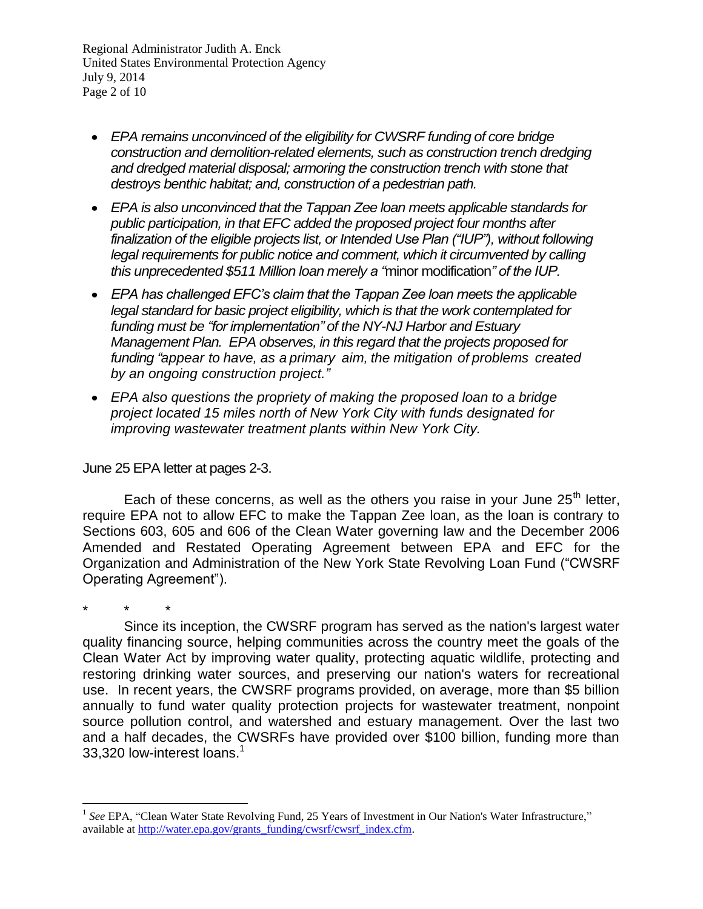Regional Administrator Judith A. Enck United States Environmental Protection Agency July 9, 2014 Page 2 of 10

- *EPA remains unconvinced of the eligibility for CWSRF funding of core bridge construction and demolition-related elements, such as construction trench dredging and dredged material disposal; armoring the construction trench with stone that destroys benthic habitat; and, construction of a pedestrian path.*
- *EPA is also unconvinced that the Tappan Zee loan meets applicable standards for public participation, in that EFC added the proposed project four months after finalization of the eligible projects list, or Intended Use Plan ("IUP"), without following legal requirements for public notice and comment, which it circumvented by calling this unprecedented \$511 Million loan merely a "*minor modification*" of the IUP.*
- *EPA has challenged EFC's claim that the Tappan Zee loan meets the applicable legal standard for basic project eligibility, which is that the work contemplated for funding must be "for implementation" of the NY-NJ Harbor and Estuary Management Plan. EPA observes, in this regard that the projects proposed for funding "appear to have, as a primary aim, the mitigation of problems created by an ongoing construction project."*
- *EPA also questions the propriety of making the proposed loan to a bridge project located 15 miles north of New York City with funds designated for improving wastewater treatment plants within New York City.*

June 25 EPA letter at pages 2-3.

 $\overline{a}$ 

Each of these concerns, as well as the others you raise in your June  $25<sup>th</sup>$  letter, require EPA not to allow EFC to make the Tappan Zee loan, as the loan is contrary to Sections 603, 605 and 606 of the Clean Water governing law and the December 2006 Amended and Restated Operating Agreement between EPA and EFC for the Organization and Administration of the New York State Revolving Loan Fund ("CWSRF Operating Agreement").

\* \* \* Since its inception, the CWSRF program has served as the nation's largest water quality financing source, helping communities across the country meet the goals of the Clean Water Act by improving water quality, protecting aquatic wildlife, protecting and restoring drinking water sources, and preserving our nation's waters for recreational use. In recent years, the CWSRF programs provided, on average, more than \$5 billion annually to fund water quality protection projects for wastewater treatment, nonpoint source pollution control, and watershed and estuary management. Over the last two and a half decades, the CWSRFs have provided over \$100 billion, funding more than 33,320 low-interest loans.<sup>1</sup>

<sup>&</sup>lt;sup>1</sup> See EPA, "Clean Water State Revolving Fund, 25 Years of Investment in Our Nation's Water Infrastructure," available at [http://water.epa.gov/grants\\_funding/cwsrf/cwsrf\\_index.cfm.](http://water.epa.gov/grants_funding/cwsrf/cwsrf_index.cfm)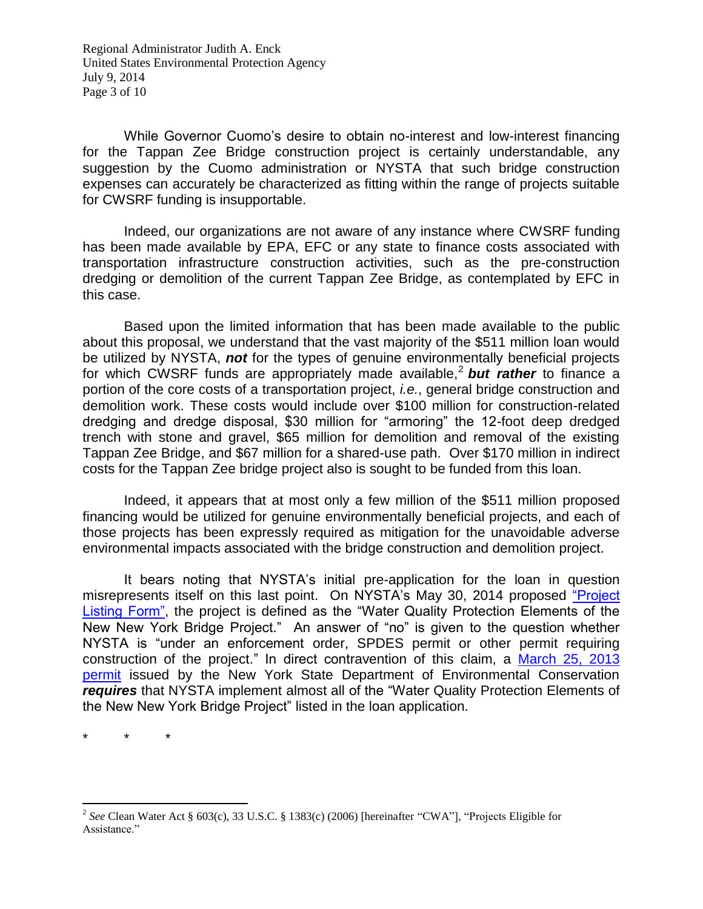Regional Administrator Judith A. Enck United States Environmental Protection Agency July 9, 2014 Page 3 of 10

While Governor Cuomo's desire to obtain no-interest and low-interest financing for the Tappan Zee Bridge construction project is certainly understandable, any suggestion by the Cuomo administration or NYSTA that such bridge construction expenses can accurately be characterized as fitting within the range of projects suitable for CWSRF funding is insupportable.

Indeed, our organizations are not aware of any instance where CWSRF funding has been made available by EPA, EFC or any state to finance costs associated with transportation infrastructure construction activities, such as the pre-construction dredging or demolition of the current Tappan Zee Bridge, as contemplated by EFC in this case.

Based upon the limited information that has been made available to the public about this proposal, we understand that the vast majority of the \$511 million loan would be utilized by NYSTA, *not* for the types of genuine environmentally beneficial projects for which CWSRF funds are appropriately made available, 2 *but rather* to finance a portion of the core costs of a transportation project, *i.e.*, general bridge construction and demolition work. These costs would include over \$100 million for construction-related dredging and dredge disposal, \$30 million for "armoring" the 12-foot deep dredged trench with stone and gravel, \$65 million for demolition and removal of the existing Tappan Zee Bridge, and \$67 million for a shared-use path. Over \$170 million in indirect costs for the Tappan Zee bridge project also is sought to be funded from this loan.

Indeed, it appears that at most only a few million of the \$511 million proposed financing would be utilized for genuine environmentally beneficial projects, and each of those projects has been expressly required as mitigation for the unavoidable adverse environmental impacts associated with the bridge construction and demolition project.

It bears noting that NYSTA's initial pre-application for the loan in question misrepresents itself on this last point. On NYSTA's May 30, 2014 proposed ["Project](http://www.riverkeeper.org/wp-content/uploads/2014/06/Project-Listing-Form-signed-by-NYSTA-May-30-2014.pdf)  [Listing Form",](http://www.riverkeeper.org/wp-content/uploads/2014/06/Project-Listing-Form-signed-by-NYSTA-May-30-2014.pdf) the project is defined as the "Water Quality Protection Elements of the New New York Bridge Project." An answer of "no" is given to the question whether NYSTA is "under an enforcement order, SPDES permit or other permit requiring construction of the project." In direct contravention of this claim, a [March 25, 2013](http://www.dec.ny.gov/docs/permits_ej_operations_pdf/tapzfnlprmt.pdf)  [permit](http://www.dec.ny.gov/docs/permits_ej_operations_pdf/tapzfnlprmt.pdf) issued by the New York State Department of Environmental Conservation *requires* that NYSTA implement almost all of the "Water Quality Protection Elements of the New New York Bridge Project" listed in the loan application.

\* \* \*

 $\overline{a}$ 

<sup>2</sup> *See* Clean Water Act § 603(c), 33 U.S.C. § 1383(c) (2006) [hereinafter "CWA"], "Projects Eligible for Assistance."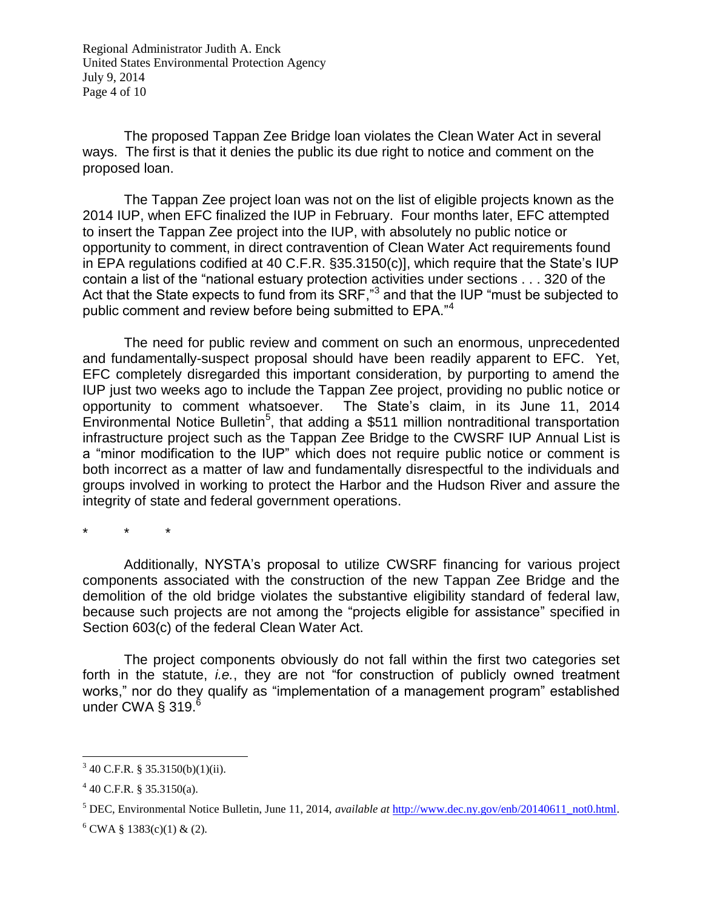Regional Administrator Judith A. Enck United States Environmental Protection Agency July 9, 2014 Page 4 of 10

The proposed Tappan Zee Bridge loan violates the Clean Water Act in several ways. The first is that it denies the public its due right to notice and comment on the proposed loan.

The Tappan Zee project loan was not on the list of eligible projects known as the 2014 IUP, when EFC finalized the IUP in February. Four months later, EFC attempted to insert the Tappan Zee project into the IUP, with absolutely no public notice or opportunity to comment, in direct contravention of Clean Water Act requirements found in EPA regulations codified at 40 C.F.R. §35.3150(c)], which require that the State's IUP contain a list of the "national estuary protection activities under sections . . . 320 of the Act that the State expects to fund from its SRF,"<sup>3</sup> and that the IUP "must be subjected to public comment and review before being submitted to EPA."<sup>4</sup>

The need for public review and comment on such an enormous, unprecedented and fundamentally-suspect proposal should have been readily apparent to EFC. Yet, EFC completely disregarded this important consideration, by purporting to amend the IUP just two weeks ago to include the Tappan Zee project, providing no public notice or opportunity to comment whatsoever. The State's claim, in its June 11, 2014 Environmental Notice Bulletin<sup>5</sup>, that adding a \$511 million nontraditional transportation infrastructure project such as the Tappan Zee Bridge to the CWSRF IUP Annual List is a "minor modification to the IUP" which does not require public notice or comment is both incorrect as a matter of law and fundamentally disrespectful to the individuals and groups involved in working to protect the Harbor and the Hudson River and assure the integrity of state and federal government operations.

\* \* \*

Additionally, NYSTA's proposal to utilize CWSRF financing for various project components associated with the construction of the new Tappan Zee Bridge and the demolition of the old bridge violates the substantive eligibility standard of federal law, because such projects are not among the "projects eligible for assistance" specified in Section 603(c) of the federal Clean Water Act.

The project components obviously do not fall within the first two categories set forth in the statute, *i.e.*, they are not "for construction of publicly owned treatment works," nor do they qualify as "implementation of a management program" established under CWA  $\S$  319. $^6$ 

l

 $3\,40$  C.F.R. § 35.3150(b)(1)(ii).

 $440$  C.F.R. § 35.3150(a).

<sup>5</sup> DEC, Environmental Notice Bulletin, June 11, 2014, *available at* [http://www.dec.ny.gov/enb/20140611\\_not0.html.](http://www.dec.ny.gov/enb/20140611_not0.html)

 $6$  CWA § 1383(c)(1) & (2).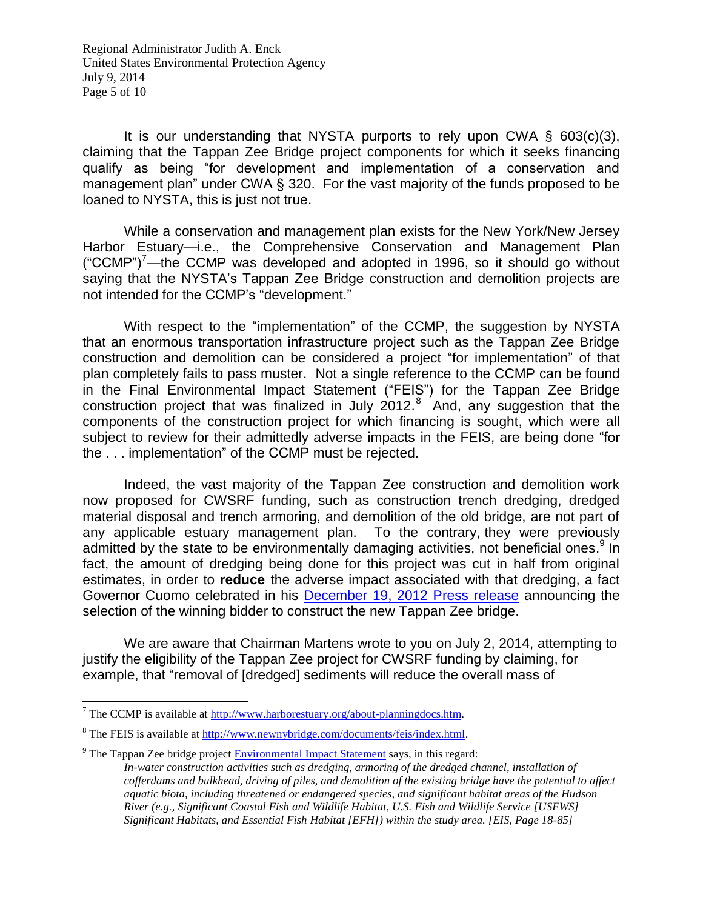Regional Administrator Judith A. Enck United States Environmental Protection Agency July 9, 2014 Page 5 of 10

It is our understanding that NYSTA purports to rely upon CWA  $\S$  603(c)(3), claiming that the Tappan Zee Bridge project components for which it seeks financing qualify as being "for development and implementation of a conservation and management plan" under CWA § 320. For the vast majority of the funds proposed to be loaned to NYSTA, this is just not true.

While a conservation and management plan exists for the New York/New Jersey Harbor Estuary—i.e., the Comprehensive Conservation and Management Plan  $({\degree}$ CCMP")<sup> $\prime$ </sup>—the CCMP was developed and adopted in 1996, so it should go without saying that the NYSTA's Tappan Zee Bridge construction and demolition projects are not intended for the CCMP's "development."

With respect to the "implementation" of the CCMP, the suggestion by NYSTA that an enormous transportation infrastructure project such as the Tappan Zee Bridge construction and demolition can be considered a project "for implementation" of that plan completely fails to pass muster. Not a single reference to the CCMP can be found in the Final Environmental Impact Statement ("FEIS") for the Tappan Zee Bridge construction project that was finalized in July  $2012.^8$  And, any suggestion that the components of the construction project for which financing is sought, which were all subject to review for their admittedly adverse impacts in the FEIS, are being done "for the . . . implementation" of the CCMP must be rejected.

Indeed, the vast majority of the Tappan Zee construction and demolition work now proposed for CWSRF funding, such as construction trench dredging, dredged material disposal and trench armoring, and demolition of the old bridge, are not part of any applicable estuary management plan. To the contrary, they were previously admitted by the state to be environmentally damaging activities, not beneficial ones.<sup>9</sup> In fact, the amount of dredging being done for this project was cut in half from original estimates, in order to **reduce** the adverse impact associated with that dredging, a fact Governor Cuomo celebrated in his [December 19, 2012 Press release](http://www.newnybridge.com/news/2012/2012-12-19-plan-approval.html) announcing the selection of the winning bidder to construct the new Tappan Zee bridge.

We are aware that Chairman Martens wrote to you on July 2, 2014, attempting to justify the eligibility of the Tappan Zee project for CWSRF funding by claiming, for example, that "removal of [dredged] sediments will reduce the overall mass of

l

<sup>&</sup>lt;sup>7</sup> The CCMP is available at  $\frac{http://www.harborestuary.org/about-planningdocs.htm.}$ 

 $8$  The FEIS is available at [http://www.newnybridge.com/documents/feis/index.html.](http://www.newnybridge.com/documents/feis/index.html)

 $9$  The Tappan Zee bridge project [Environmental Impact Statement](http://www.newnybridge.com/documents/feis/vol1/18-construction-impacts.pdf) says, in this regard:

*In-water construction activities such as dredging, armoring of the dredged channel, installation of cofferdams and bulkhead, driving of piles, and demolition of the existing bridge have the potential to affect aquatic biota, including threatened or endangered species, and significant habitat areas of the Hudson River (e.g., Significant Coastal Fish and Wildlife Habitat, U.S. Fish and Wildlife Service [USFWS] Significant Habitats, and Essential Fish Habitat [EFH]) within the study area. [EIS, Page 18-85]*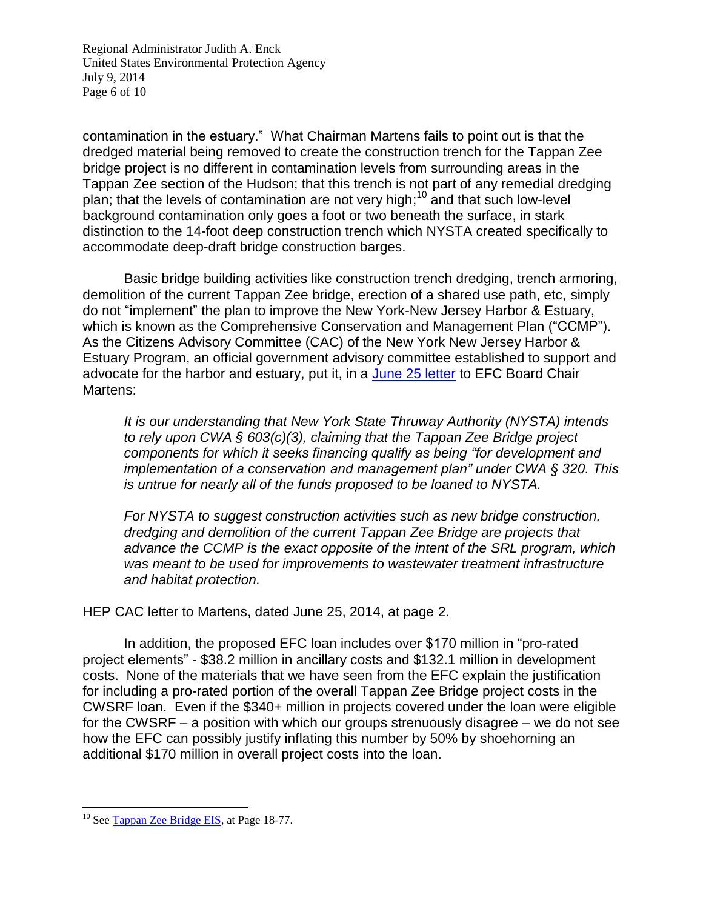Regional Administrator Judith A. Enck United States Environmental Protection Agency July 9, 2014 Page 6 of 10

contamination in the estuary." What Chairman Martens fails to point out is that the dredged material being removed to create the construction trench for the Tappan Zee bridge project is no different in contamination levels from surrounding areas in the Tappan Zee section of the Hudson; that this trench is not part of any remedial dredging plan; that the levels of contamination are not very high;<sup>10</sup> and that such low-level background contamination only goes a foot or two beneath the surface, in stark distinction to the 14-foot deep construction trench which NYSTA created specifically to accommodate deep-draft bridge construction barges.

Basic bridge building activities like construction trench dredging, trench armoring, demolition of the current Tappan Zee bridge, erection of a shared use path, etc, simply do not "implement" the plan to improve the New York-New Jersey Harbor & Estuary, which is known as the Comprehensive Conservation and Management Plan ("CCMP"). As the Citizens Advisory Committee (CAC) of the New York New Jersey Harbor & Estuary Program, an official government advisory committee established to support and advocate for the harbor and estuary, put it, in a [June 25 letter](http://www.riverkeeper.org/wp-content/uploads/2009/06/Letter-To-EFC-from-Citizens-Advisory-Committee-6-25-14.pdf) to EFC Board Chair Martens:

*It is our understanding that New York State Thruway Authority (NYSTA) intends to rely upon CWA § 603(c)(3), claiming that the Tappan Zee Bridge project components for which it seeks financing qualify as being "for development and implementation of a conservation and management plan" under CWA § 320. This is untrue for nearly all of the funds proposed to be loaned to NYSTA.*

*For NYSTA to suggest construction activities such as new bridge construction, dredging and demolition of the current Tappan Zee Bridge are projects that advance the CCMP is the exact opposite of the intent of the SRL program, which was meant to be used for improvements to wastewater treatment infrastructure and habitat protection.*

HEP CAC letter to Martens, dated June 25, 2014, at page 2.

In addition, the proposed EFC loan includes over \$170 million in "pro-rated project elements" - \$38.2 million in ancillary costs and \$132.1 million in development costs. None of the materials that we have seen from the EFC explain the justification for including a pro-rated portion of the overall Tappan Zee Bridge project costs in the CWSRF loan. Even if the \$340+ million in projects covered under the loan were eligible for the CWSRF – a position with which our groups strenuously disagree – we do not see how the EFC can possibly justify inflating this number by 50% by shoehorning an additional \$170 million in overall project costs into the loan.

 $\overline{a}$ <sup>10</sup> See [Tappan Zee Bridge EIS,](http://www.newnybridge.com/documents/feis/vol1/18-construction-impacts.pdf) at Page 18-77.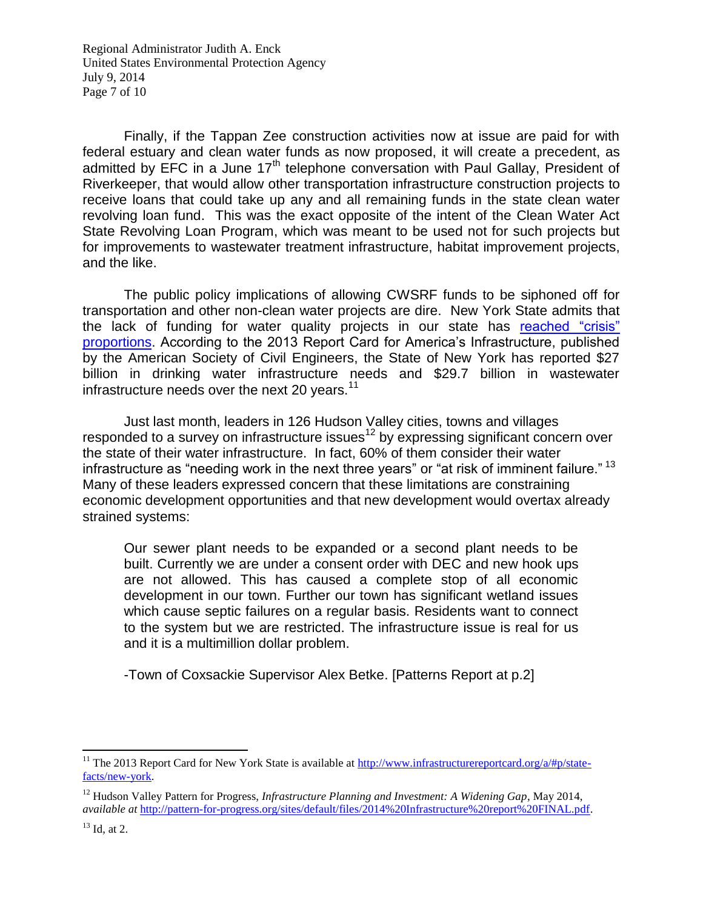Regional Administrator Judith A. Enck United States Environmental Protection Agency July 9, 2014 Page 7 of 10

Finally, if the Tappan Zee construction activities now at issue are paid for with federal estuary and clean water funds as now proposed, it will create a precedent, as admitted by EFC in a June 17<sup>th</sup> telephone conversation with Paul Gallay, President of Riverkeeper, that would allow other transportation infrastructure construction projects to receive loans that could take up any and all remaining funds in the state clean water revolving loan fund. This was the exact opposite of the intent of the Clean Water Act State Revolving Loan Program, which was meant to be used not for such projects but for improvements to wastewater treatment infrastructure, habitat improvement projects, and the like.

The public policy implications of allowing CWSRF funds to be siphoned off for transportation and other non-clean water projects are dire. New York State admits that the lack of funding for water quality projects in our state has reached "crisis" [proportions.](http://www.dec.ny.gov/chemical/48803.html) According to the 2013 Report Card for America's Infrastructure, published by the American Society of Civil Engineers, the State of New York has reported \$27 billion in drinking water infrastructure needs and \$29.7 billion in wastewater infrastructure needs over the next 20 years. $11$ 

Just last month, leaders in 126 Hudson Valley cities, towns and villages responded to a survey on infrastructure issues<sup>12</sup> by expressing significant concern over the state of their water infrastructure. In fact, 60% of them consider their water infrastructure as "needing work in the next three years" or "at risk of imminent failure."<sup>13</sup> Many of these leaders expressed concern that these limitations are constraining economic development opportunities and that new development would overtax already strained systems:

Our sewer plant needs to be expanded or a second plant needs to be built. Currently we are under a consent order with DEC and new hook ups are not allowed. This has caused a complete stop of all economic development in our town. Further our town has significant wetland issues which cause septic failures on a regular basis. Residents want to connect to the system but we are restricted. The infrastructure issue is real for us and it is a multimillion dollar problem.

-Town of Coxsackie Supervisor Alex Betke. [Patterns Report at p.2]

 $\overline{a}$ 

<sup>&</sup>lt;sup>11</sup> The 2013 Report Card for New York State is available at [http://www.infrastructurereportcard.org/a/#p/state](http://www.infrastructurereportcard.org/a/#p/state-facts/new-york)[facts/new-york.](http://www.infrastructurereportcard.org/a/#p/state-facts/new-york)

<sup>12</sup> Hudson Valley Pattern for Progress, *Infrastructure Planning and Investment: A Widening Gap*, May 2014, *available at* [http://pattern-for-progress.org/sites/default/files/2014%20Infrastructure%20report%20FINAL.pdf.](http://pattern-for-progress.org/sites/default/files/2014%20Infrastructure%20report%20FINAL.pdf)

 $13$  Id, at 2.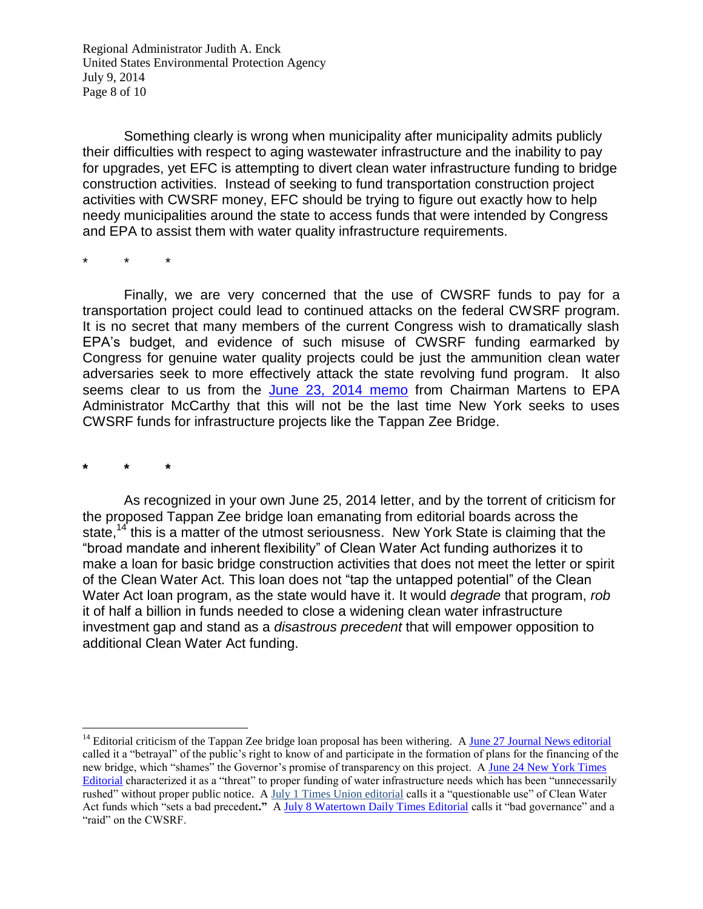Regional Administrator Judith A. Enck United States Environmental Protection Agency July 9, 2014 Page 8 of 10

Something clearly is wrong when municipality after municipality admits publicly their difficulties with respect to aging wastewater infrastructure and the inability to pay for upgrades, yet EFC is attempting to divert clean water infrastructure funding to bridge construction activities. Instead of seeking to fund transportation construction project activities with CWSRF money, EFC should be trying to figure out exactly how to help needy municipalities around the state to access funds that were intended by Congress and EPA to assist them with water quality infrastructure requirements.

\* \* \*

Finally, we are very concerned that the use of CWSRF funds to pay for a transportation project could lead to continued attacks on the federal CWSRF program. It is no secret that many members of the current Congress wish to dramatically slash EPA's budget, and evidence of such misuse of CWSRF funding earmarked by Congress for genuine water quality projects could be just the ammunition clean water adversaries seek to more effectively attack the state revolving fund program. It also seems clear to us from the [June 23, 2014 memo](http://www.riverkeeper.org/wp-content/uploads/2009/06/EFC-Board-Chair-letter-to-EPA-Administrator-McCarthy-June-23-2014.pdf) from Chairman Martens to EPA Administrator McCarthy that this will not be the last time New York seeks to uses CWSRF funds for infrastructure projects like the Tappan Zee Bridge.

**\* \* \***

 $\overline{a}$ 

As recognized in your own June 25, 2014 letter, and by the torrent of criticism for the proposed Tappan Zee bridge loan emanating from editorial boards across the state,<sup>14</sup> this is a matter of the utmost seriousness. New York State is claiming that the "broad mandate and inherent flexibility" of Clean Water Act funding authorizes it to make a loan for basic bridge construction activities that does not meet the letter or spirit of the Clean Water Act. This loan does not "tap the untapped potential" of the Clean Water Act loan program, as the state would have it. It would *degrade* that program, *rob* it of half a billion in funds needed to close a widening clean water infrastructure investment gap and stand as a *disastrous precedent* that will empower opposition to additional Clean Water Act funding.

<sup>&</sup>lt;sup>14</sup> Editorial criticism of the Tappan Zee bridge loan proposal has been withering. A [June 27 Journal News editorial](http://www.lohud.com/story/opinion/editorials/2014/06/27/editorial-tappan-zee-bridge-environmental-loans/11445917/) called it a "betrayal" of the public's right to know of and participate in the formation of plans for the financing of the new bridge, which "shames" the Governor's promise of transparency on this project. A [June 24 New York Times](http://www.nytimes.com/2014/06/25/opinion/the-tappan-zee-bridge-loan.html?module=Search&mabReward=relbias%3As%2C%5B%22RI%3A6%22%2C%22RI%3A17%22%5D&_r=0)  [Editorial](http://www.nytimes.com/2014/06/25/opinion/the-tappan-zee-bridge-loan.html?module=Search&mabReward=relbias%3As%2C%5B%22RI%3A6%22%2C%22RI%3A17%22%5D&_r=0) characterized it as a "threat" to proper funding of water infrastructure needs which has been "unnecessarily rushed" without proper public notice. A [July 1 Times Union editorial](http://blog.timesunion.com/opinion/a-muddy-clean-water-deal/29779/) calls it a "questionable use" of Clean Water Act funds which "sets a bad precedent**."** [A July 8 Watertown Daily Times Editorial](http://www.watertowndailytimes.com/article/20140708/OPINION/140709181) calls it "bad governance" and a "raid" on the CWSRF.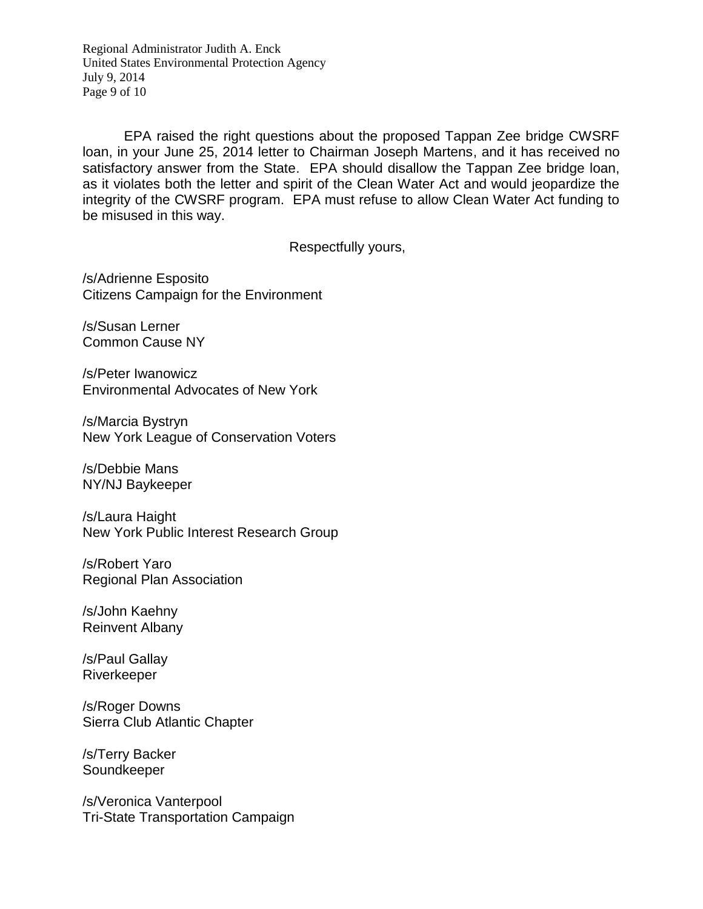Regional Administrator Judith A. Enck United States Environmental Protection Agency July 9, 2014 Page 9 of 10

EPA raised the right questions about the proposed Tappan Zee bridge CWSRF loan, in your June 25, 2014 letter to Chairman Joseph Martens, and it has received no satisfactory answer from the State. EPA should disallow the Tappan Zee bridge loan, as it violates both the letter and spirit of the Clean Water Act and would jeopardize the integrity of the CWSRF program. EPA must refuse to allow Clean Water Act funding to be misused in this way.

Respectfully yours,

/s/Adrienne Esposito Citizens Campaign for the Environment

/s/Susan Lerner Common Cause NY

/s/Peter Iwanowicz Environmental Advocates of New York

/s/Marcia Bystryn New York League of Conservation Voters

/s/Debbie Mans NY/NJ Baykeeper

/s/Laura Haight New York Public Interest Research Group

/s/Robert Yaro Regional Plan Association

/s/John Kaehny Reinvent Albany

/s/Paul Gallay Riverkeeper

/s/Roger Downs Sierra Club Atlantic Chapter

/s/Terry Backer Soundkeeper

/s/Veronica Vanterpool Tri-State Transportation Campaign